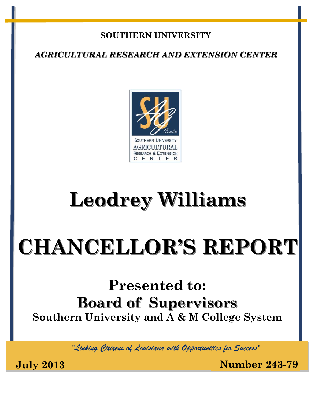### **SOUTHERN UNIVERSITY**

*AGRICULTURAL RESEARCH AND EXTENSION CENTER*



# **Leodrey Williams**

# **CHANCELLOR'S REPORT**

# **Presented to: Board of Supervisors Southern University and A & M College System**

*"Linking Citizens of Louisiana with Opportunities for Success"*

**July 2013 Number 243-79**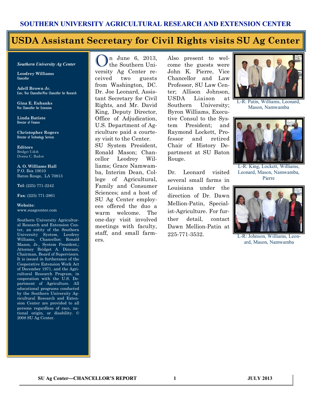#### **USDA Assistant Secretary for Civil Rights visits SU Ag Center**

#### *Southern University Ag Center*

**Leodrey Williams**  Chancellor

**Adell Brown Jr.**  Exec. Vice Chancellor/Vice Chancellor for Research

**Gina E. Eubanks** Vice Chancellor for Extension

**Linda Batiste** Director of Finance

**Christopher Rogers** Director of Technology Services

**Editors** Bridget Udoh Donna C. Badon

**A. O. Williams Hall** P.O. Box 10010 Baton Rouge, LA 70813

**Tel**: (225) 771-2242

**Fax**: (225) 771-2861

#### **Website**: www.suagcenter.com

Southern University Agricultural Research and Extension Center, an entity of the Southern University System, Leodrey Williams, Chancellor; Ronald Mason, Jr., System President,; Attorney Bridget A. Dinvaut, Chairman, Board of Supervisors. It is issued in furtherance of the Cooperative Extension Work Act of December 1971, and the Agricultural Research Program, in cooperation with the U.S. Department of Agriculture. All educational programs conducted by the Southern University Agricultural Research and Extension Center are provided to all persons regardless of race, national origin, or disability. © 2008 SU Ag Center.

n June 6, 2013. the Southern University Ag Center received two guests from Washington, DC. Dr. Joe Leonard, Assistant Secretary for Civil Rights, and Mr. David King, Deputy Director, Office of Adjudication, U.S. Department of Agriculture paid a courtesy visit to the Center. SU System President, Ronald Mason; Chancellor Leodrey Williams; Grace Namwamba, Interim Dean, College of Agricultural, Family and Consumer Sciences; and a host of SU Ag Center employees offered the duo a warm welcome. The one-day visit involved meetings with faculty, staff, and small farmers.

Also present to welcome the guests were John K. Pierre, Vice Chancellor and Law Professor, SU Law Center; Allison Johnson, USDA Liaison at Southern University; Byron Williams, Executive Consul to the System President; and Raymond Lockett, Professor and retired Chair of History Department at SU Baton Rouge.

Dr. Leonard visited several small farms in Louisiana under the direction of Dr. Dawn Mellion-Patin, Specialist-Agriculture. For further detail, contact Dawn Mellion-Patin at 225-771-3532.



L-R: Patin, Williams, Leonard, Mason, Namwamba



L-R: King, Lockett, Williams, Leonard, Mason, Namwamba, Pierre



L-R: Johnson, Williams, Leonard, Mason, Namwamba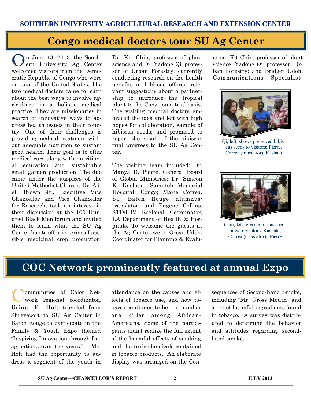### **Congo medical doctors tour SU Ag Center**

In June 13, 2013, the Southern University Ag Center welcomed visitors from the Democratic Republic of Congo who were on tour of the United States. The two medical doctors came to learn about the best ways to involve agriculture in a holistic medical practice. They are missionaries in search of innovative ways to address health issues in their country. One of their challenges is providing medical treatment without adequate nutrition to sustain good health. Their goal is to offer medical care along with nutritional education and sustainable small garden production. The duo came under the auspices of the United Methodist Church. Dr. Adell Brown Jr., Executive Vice Chancellor and Vice Chancellor for Research, took an interest in their discussion at the 100 Hundred Black Men forum and invited them to learn what the SU Ag Center has to offer in terms of possible medicinal crop production.

Dr. Kit Chin, professor of plant science and Dr. Yadong Qi, professor of Urban Forestry, currently conducting research on the health benefits of hibiscus offered relevant suggestions about a partnership to introduce the tropical plant to the Congo on a trial basis. The visiting medical doctors embraced the idea and left with high hopes for collaboration, sample of hibiscus seeds; and promised to report the result of the hibiscus trial progress to the SU Ag Center.

The visiting team included: Dr. Manya D. Pierre, General Board of Global Ministries; Dr. Simeon K. Kashala, Samuteb Memorial Hospital, Congo; Marie Correa, SU Baton Rouge alumnus/ translator; and Eugene Collins, STD/HIV Regional Coordinator, LA Department of Health & Hospitals. To welcome the guests at the Ag Center were: Oscar Udoh, Coordinator for Planning & Evaluation; Kit Chin, professor of plant science; Yadong Qi, professor, Urban Forestry; and Bridget Udoh, Communications Specialist.



Qi, left, shows preserved hibiscus seeds to visitors: Pierre, Correa (translator), Kashala



Chin, left, gives hibiscus seedlings to visitors: Kashala, Correa (translator), Pierre

# **COC Network prominently featured at annual Expo**

C ommunities of Color Network regional coordinator**, Urina F. Holt** traveled from Shreveport to SU Ag Center in Baton Rouge to participate in the Family & Youth Expo themed "Inspiring Innovation through Imagination…over the years." Ms. Holt had the opportunity to address a segment of the youth in

attendance on the causes and effects of tobacco use, and how tobacco continues to be the number one killer among African-Americans. Some of the participants didn't realize the full extent of the harmful effects of smoking and the toxic chemicals contained in tobacco products. An elaborate display was arranged on the Consequences of Second-hand Smoke, including "Mr. Gross Mouth" and a list of harmful ingredients found in tobacco. A survey was distributed to determine the behavior and attitudes regarding secondhand smoke.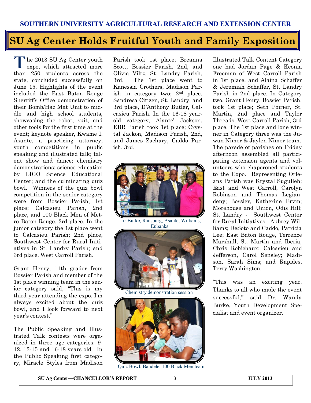# **SU Ag Center Holds Fruitful Youth and Family Exposition**

The 2013 SU Ag Center youth<br>expo, which attracted more he 2013 SU Ag Center youth than 250 students across the state, concluded successfully on June 15. Highlights of the event included the East Baton Rouge Sherriff's Office demonstration of their Bomb/Haz Mat Unit to middle and high school students, showcasing the robot, suit, and other tools for the first time at the event; keynote speaker, Kwame I. Asante, a practicing attorney; youth competitions in public speaking and illustrated talk; talent show and dance; chemistry demonstrations; science education by LIGO Science Educational Center; and the culminating quiz bowl. Winners of the quiz bowl competition in the senior category were from Bossier Parish, 1st place; Calcasieu Parish, 2nd place, and 100 Black Men of Metro Baton Rouge, 3rd place. In the junior category the 1st place went to Calcasieu Parish; 2nd place, Southwest Center for Rural Initiatives in St. Landry Parish; and 3rd place, West Carroll Parish.

Grant Henry, 11th grader from Bossier Parish and member of the 1st place winning team in the senior category said, "This is my third year attending the expo, I'm always excited about the quiz bowl, and I look forward to next year's contest."

The Public Speaking and Illustrated Talk contests were organized in three age categories: 9- 12, 13-15 and 16-18 years old. In the Public Speaking first category, Miracle Styles from Madison Parish took 1st place; Breanna Scott, Bossier Parish, 2nd, and Olivia Viltz, St. Landry Parish, 3rd. The 1st place went to Kanessia Crothers, Madison Parish in category two; 2nd place, Sandreca Citizen, St. Landry; and 3rd place, D'Anthony Butler, Calcasieu Parish. In the 16-18 yearold category, Alante' Jackson, EBR Parish took 1st place; Crystal Jackon, Madison Parish, 2nd, and James Zachary, Caddo Parish, 3rd.



L-r: Burke, Ransburg, Asante, Williams, Eubanks



Chemistry demonstration session



Quiz Bowl: Bandele, 100 Black Men team

Illustrated Talk Content Category one had Jordan Page & Keonia Freeman of West Carroll Parish in 1st place, and Alaina Schaffer & Jeremiah Schaffer, St. Landry Parish in 2nd place. In Category two, Grant Henry, Bossier Parish, took 1st place; Seth Poirier, St. Martin, 2nd place and Taylor Threads, West Carroll Parish, 3rd place. The 1st place and lone winner in Category three was the Juwan Nimer & Jaylen Nimer team. The parade of parishes on Friday afternoon assembled all participating extension agents and volunteers who chaperoned students to the Expo. Representing Orleans Parish was Krystal Sugulleh; East and West Carroll, Carolyn Robinson and Thomas Legiandeny; Bossier, Katherine Ervin; Morehouse and Union, Odis Hill; St. Landry - Southwest Center for Rural Initiatives, Aubrey Williams; DeSoto and Caddo, Patricia Lee; East Baton Rouge, Terrence Marshall; St. Martin and Iberia, Chris Robichaux; Calcasieu and Jefferson, Carol Sensley; Madison, Sarah Sims; and Rapides, Terry Washington.

"This was an exciting year. Thanks to all who made the event successful," said Dr. Wanda Burke, Youth Development Specialist and event organizer.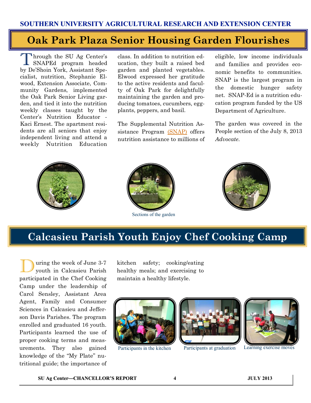# **Oak Park Plaza Senior Housing Garden Flourishes**

Through the SU Ag Center's<br>SNAPEd program headed hrough the SU Ag Center's by De'Shoin York, Assistant Specialist, nutrition, Stephanie Elwood, Extension Associate, Community Gardens, implemented the Oak Park Senior Living garden, and tied it into the nutrition weekly classes taught by the Center's Nutrition Educator - Kaci Ernest. The apartment residents are all seniors that enjoy independent living and attend a weekly Nutrition Education

class. In addition to nutrition education, they built a raised bed garden and planted vegetables. Elwood expressed her gratitude to the active residents and faculty of Oak Park for delightfully maintaining the garden and producing tomatoes, cucumbers, eggplants, peppers, and basil.

The Supplemental Nutrition Assistance Program [\(SNAP\)](http://www.fns.usda.gov/snap) offers nutrition assistance to millions of eligible, low income individuals and families and provides economic benefits to communities. SNAP is the largest program in the domestic hunger safety net. SNAP-Ed is a nutrition education program funded by the US Department of Agriculture.

The garden was covered in the People section of the July 8, 2013 *Advocate*.





Sections of the garden



# **Calcasieu Parish Youth Enjoy Chef Cooking Camp**

uring the week of June 3-7 youth in Calcasieu Parish participated in the Chef Cooking Camp under the leadership of Carol Sensley, Assistant Area Agent, Family and Consumer Sciences in Calcasieu and Jefferson Davis Parishes. The program enrolled and graduated 16 youth. Participants learned the use of proper cooking terms and measurements. They also gained knowledge of the "My Plate" nutritional guide; the importance of

kitchen safety; cooking/eating healthy meals; and exercising to maintain a healthy lifestyle.





Participants in the kitchen Participants at graduation Learning exercise moves



**SU Ag Center—CHANCELLOR'S REPORT 4 JULY 2013**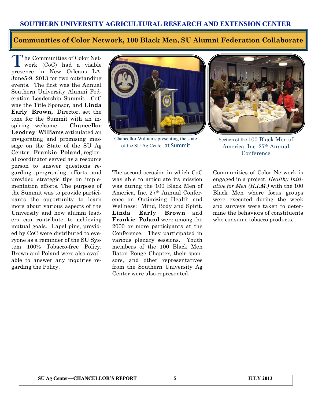#### **Communities of Color Network, 100 Black Men, SU Alumni Federation Collaborate**

The Communities of Color Net-<br>work (CoC) had a visible **h**e Communities of Color Netpresence in New Orleans LA, June5-9, 2013 for two outstanding events. The first was the Annual Southern University Alumni Federation Leadership Summit. CoC was the Title Sponsor, and **Linda Early Brown,** Director, set the tone for the Summit with an inspiring welcome. **Chancellor Leodrey Williams** articulated an invigorating and promising message on the State of the SU Ag Center. **Frankie Poland**, regional coordinator served as a resource person to answer questions regarding programing efforts and provided strategic tips on implementation efforts. The purpose of the Summit was to provide participants the opportunity to learn more about various aspects of the University and how alumni leaders can contribute to achieving mutual goals. Lapel pins, provided by CoC were distributed to everyone as a reminder of the SU System 100% Tobacco-free Policy. Brown and Poland were also available to answer any inquiries regarding the Policy.



Chancellor Williams presenting the state of the SU Ag Center at Summit



Section of the 100 Black Men of America, Inc. 27th Annual **Conference** 

The second occasion in which CoC was able to articulate its mission was during the 100 Black Men of America, Inc. 27th Annual Conference on Optimizing Health and Wellness: Mind, Body and Spirit. **Linda Early Brown** and **Frankie Poland** were among the 2000 or more participants at the Conference. They participated in various plenary sessions. Youth members of the 100 Black Men Baton Rouge Chapter, their sponsors, and other representatives from the Southern University Ag Center were also represented.

Communities of Color Network is engaged in a project, *Healthy Initiative for Men (H.I.M.)* with the 100 Black Men where focus groups were executed during the week and surveys were taken to determine the behaviors of constituents who consume tobacco products.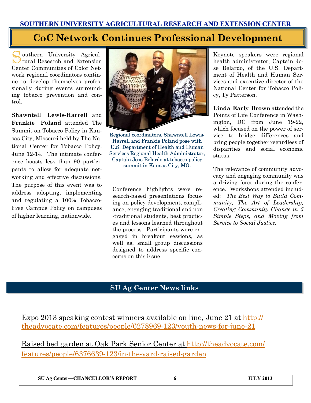# **CoC Network Continues Professional Development**

Southern University Agriculouthern University Agricul-Center Communities of Color Network regional coordinators continue to develop themselves professionally during events surrounding tobacco prevention and control.

**Shawntell Lewis-Harrell** and **Frankie Poland** attended The Summit on Tobacco Policy in Kansas City, Missouri held by The National Center for Tobacco Policy, June 12-14. The intimate conference boasts less than 90 participants to allow for adequate networking and effective discussions. The purpose of this event was to address adopting, implementing and regulating a 100% Tobacco-Free Campus Policy on campuses of higher learning, nationwide.



Regional coordinators, Shawntell Lewis-Harrell and Frankie Poland pose with U.S. Department of Health and Human Services Regional Health Administrator, Captain Jose Belardo at tobacco policy summit in Kansas City, MO.

Conference highlights were research-based presentations focusing on policy development, compliance, engaging traditional and non -traditional students, best practices and lessons learned throughout the process. Participants were engaged in breakout sessions, as well as, small group discussions designed to address specific concerns on this issue.

Keynote speakers were regional health administrator, Captain Jose Belardo, of the U.S. Department of Health and Human Services and executive director of the National Center for Tobacco Policy, Ty Patterson.

**Linda Early Brown** attended the Points of Life Conference in Washington, DC from June 19-22, which focused on the power of service to bridge differences and bring people together regardless of disparities and social economic status.

The relevance of community advocacy and engaging community was a driving force during the conference. Workshops attended included: *The Best Way to Build Community, The Art of Leadership, Creating Community Change in 5 Simple Steps, and Moving from Service to Social Justice.*

#### **SU Ag Center News links**

Expo 2013 speaking contest winners available on line, June 21 at [http://](http://theadvocate.com/features/people/6278969-123/youth-news-for-june-21) [theadvocate.com/features/people/6278969-123/youth-news-for-june-21](http://theadvocate.com/features/people/6278969-123/youth-news-for-june-21)

Raised bed garden at Oak Park Senior Center at [http://theadvocate.com/](http://theadvocate.com/features/people/6376639-123/in-the-yard-raised-garden) [features/people/6376639-123/in-the-yard-raised-garden](http://theadvocate.com/features/people/6376639-123/in-the-yard-raised-garden)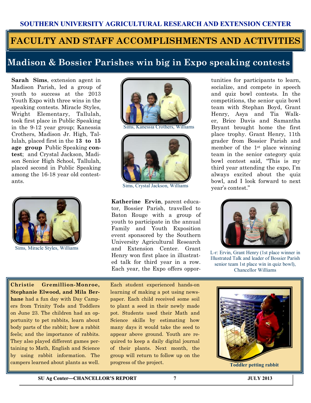# **FACULTY AND STAFF ACCOMPLISHMENTS AND ACTIVITIES**

### **Madison & Bossier Parishes win big in Expo speaking contests**

**Sarah Sims**, extension agent in Madison Parish, led a group of youth to success at the 2013 Youth Expo with three wins in the speaking contests. Miracle Styles, Wright Elementary, Tallulah, took first place in Public Speaking in the 9-12 year group; Kanessia Crothers, Madison Jr. High, Tallulah, placed first in the **13 to 15 age group** Public Speaking **contest**; and Crystal Jackson, Madison Senior High School, Tallulah, placed second in Public Speaking among the 16-18 year old contestants.



Sims, Miracle Styles, Williams



ims, Kanessia Crothers, Williams



Sims, Crystal Jackson, Williams

**Katherine Ervin**, parent educator, Bossier Parish, travelled to Baton Rouge with a group of youth to participate in the annual Family and Youth Exposition event sponsored by the Southern University Agricultural Research and Extension Center. Grant Henry won first place in illustrated talk for third year in a row. Each year, the Expo offers oppor-

tunities for participants to learn, socialize, and compete in speech and quiz bowl contests. In the competitions, the senior quiz bowl team with Stephan Boyd, Grant Henry, Asya and Tia Walker, Brice Davis and Samantha Bryant brought home the first place trophy. Grant Henry, 11th grader from Bossier Parish and member of the 1st place winning team in the senior category quiz bowl contest said, "This is my third year attending the expo, I'm always excited about the quiz bowl, and I look forward to next year's contest."



L-r: Ervin, Grant Henry (1st place winner in Illustrated Talk and leader of Bossier Parish senior team 1st place win in quiz bowl), Chancellor Williams

**Christie Gremillion-Monroe, Stephanie Elwood, and Mila Berhane** had a fun day with Day Campers from Trinity Tods and Toddlers on June 23. The children had an opportunity to pet rabbits, learn about body parts of the rabbit; how a rabbit feels; and the importance of rabbits. They also played different games pertaining to Math, English and Science by using rabbit information. The campers learned about plants as well.

Each student experienced hands-on learning of making a pot using newspaper. Each child received some soil to plant a seed in their newly made pot. Students used their Math and Science skills by estimating how many days it would take the seed to appear above ground. Youth are required to keep a daily digital journal of their plants. Next month, the group will return to follow up on the progress of the project.



**Toddler petting rabbit**